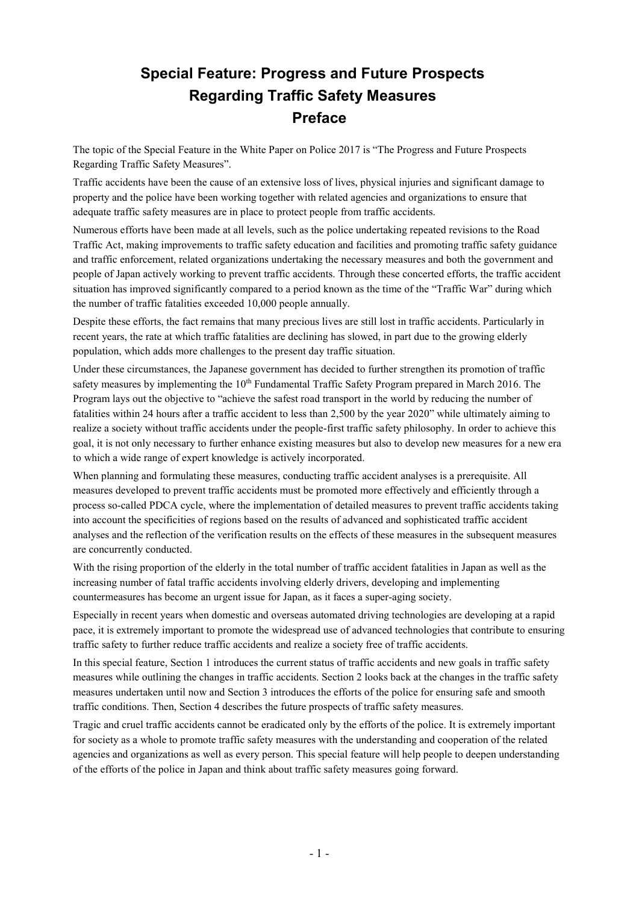# **Special Feature: Progress and Future Prospects Regarding Traffic Safety Measures Preface**

The topic of the Special Feature in the White Paper on Police 2017 is "The Progress and Future Prospects Regarding Traffic Safety Measures".

Traffic accidents have been the cause of an extensive loss of lives, physical injuries and significant damage to property and the police have been working together with related agencies and organizations to ensure that adequate traffic safety measures are in place to protect people from traffic accidents.

Numerous efforts have been made at all levels, such as the police undertaking repeated revisions to the Road Traffic Act, making improvements to traffic safety education and facilities and promoting traffic safety guidance and traffic enforcement, related organizations undertaking the necessary measures and both the government and people of Japan actively working to prevent traffic accidents. Through these concerted efforts, the traffic accident situation has improved significantly compared to a period known as the time of the "Traffic War" during which the number of traffic fatalities exceeded 10,000 people annually.

Despite these efforts, the fact remains that many precious lives are still lost in traffic accidents. Particularly in recent years, the rate at which traffic fatalities are declining has slowed, in part due to the growing elderly population, which adds more challenges to the present day traffic situation.

Under these circumstances, the Japanese government has decided to further strengthen its promotion of traffic safety measures by implementing the  $10<sup>th</sup>$  Fundamental Traffic Safety Program prepared in March 2016. The Program lays out the objective to "achieve the safest road transport in the world by reducing the number of fatalities within 24 hours after a traffic accident to less than 2,500 by the year 2020" while ultimately aiming to realize a society without traffic accidents under the people-first traffic safety philosophy. In order to achieve this goal, it is not only necessary to further enhance existing measures but also to develop new measures for a new era to which a wide range of expert knowledge is actively incorporated.

When planning and formulating these measures, conducting traffic accident analyses is a prerequisite. All measures developed to prevent traffic accidents must be promoted more effectively and efficiently through a process so-called PDCA cycle, where the implementation of detailed measures to prevent traffic accidents taking into account the specificities of regions based on the results of advanced and sophisticated traffic accident analyses and the reflection of the verification results on the effects of these measures in the subsequent measures are concurrently conducted.

With the rising proportion of the elderly in the total number of traffic accident fatalities in Japan as well as the increasing number of fatal traffic accidents involving elderly drivers, developing and implementing countermeasures has become an urgent issue for Japan, as it faces a super-aging society.

Especially in recent years when domestic and overseas automated driving technologies are developing at a rapid pace, it is extremely important to promote the widespread use of advanced technologies that contribute to ensuring traffic safety to further reduce traffic accidents and realize a society free of traffic accidents.

In this special feature, Section 1 introduces the current status of traffic accidents and new goals in traffic safety measures while outlining the changes in traffic accidents. Section 2 looks back at the changes in the traffic safety measures undertaken until now and Section 3 introduces the efforts of the police for ensuring safe and smooth traffic conditions. Then, Section 4 describes the future prospects of traffic safety measures.

Tragic and cruel traffic accidents cannot be eradicated only by the efforts of the police. It is extremely important for society as a whole to promote traffic safety measures with the understanding and cooperation of the related agencies and organizations as well as every person. This special feature will help people to deepen understanding of the efforts of the police in Japan and think about traffic safety measures going forward.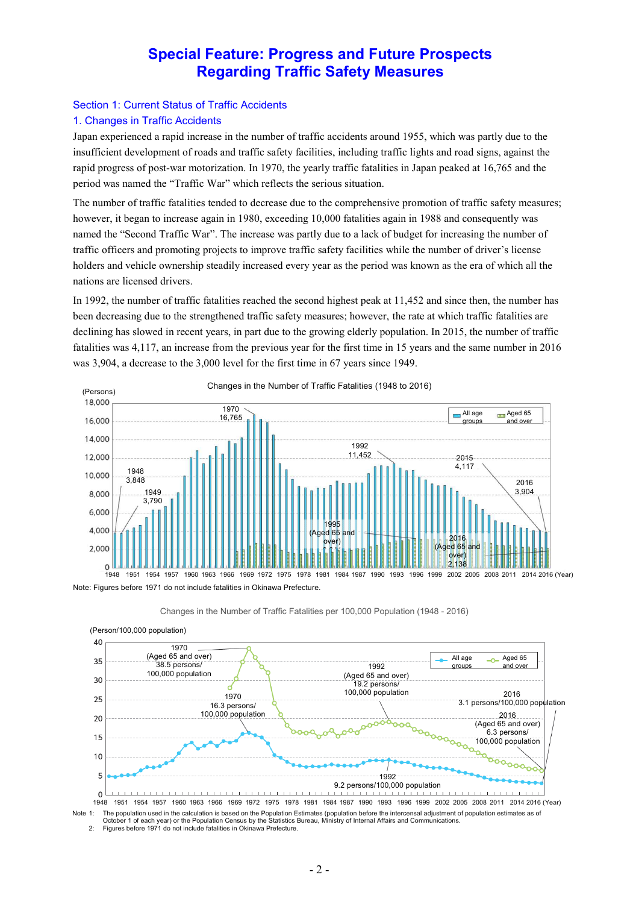## **Special Feature: Progress and Future Prospects Regarding Traffic Safety Measures**

#### Section 1: Current Status of Traffic Accidents

#### 1. Changes in Traffic Accidents

Japan experienced a rapid increase in the number of traffic accidents around 1955, which was partly due to the insufficient development of roads and traffic safety facilities, including traffic lights and road signs, against the rapid progress of post-war motorization. In 1970, the yearly traffic fatalities in Japan peaked at 16,765 and the period was named the "Traffic War" which reflects the serious situation.

The number of traffic fatalities tended to decrease due to the comprehensive promotion of traffic safety measures; however, it began to increase again in 1980, exceeding 10,000 fatalities again in 1988 and consequently was named the "Second Traffic War". The increase was partly due to a lack of budget for increasing the number of traffic officers and promoting projects to improve traffic safety facilities while the number of driver's license holders and vehicle ownership steadily increased every year as the period was known as the era of which all the nations are licensed drivers.

In 1992, the number of traffic fatalities reached the second highest peak at 11,452 and since then, the number has been decreasing due to the strengthened traffic safety measures; however, the rate at which traffic fatalities are declining has slowed in recent years, in part due to the growing elderly population. In 2015, the number of traffic fatalities was 4,117, an increase from the previous year for the first time in 15 years and the same number in 2016 was 3,904, a decrease to the 3,000 level for the first time in 67 years since 1949.



Changes in the Number of Traffic Fatalities (1948 to 2016)



Changes in the Number of Traffic Fatalities per 100,000 Population (1948 - 2016)

Note 1: The population used in the calculation is based on the Population Estimates (population before the intercensal adjustment of population estimates as of October 1 of each year) or the Population Census by the Statistics Bureau, Ministry of Internal Affairs and Communications. 2: Figures before 1971 do not include fatalities in Okinawa Prefecture.

Note: Figures before 1971 do not include fatalities in Okinawa Prefecture.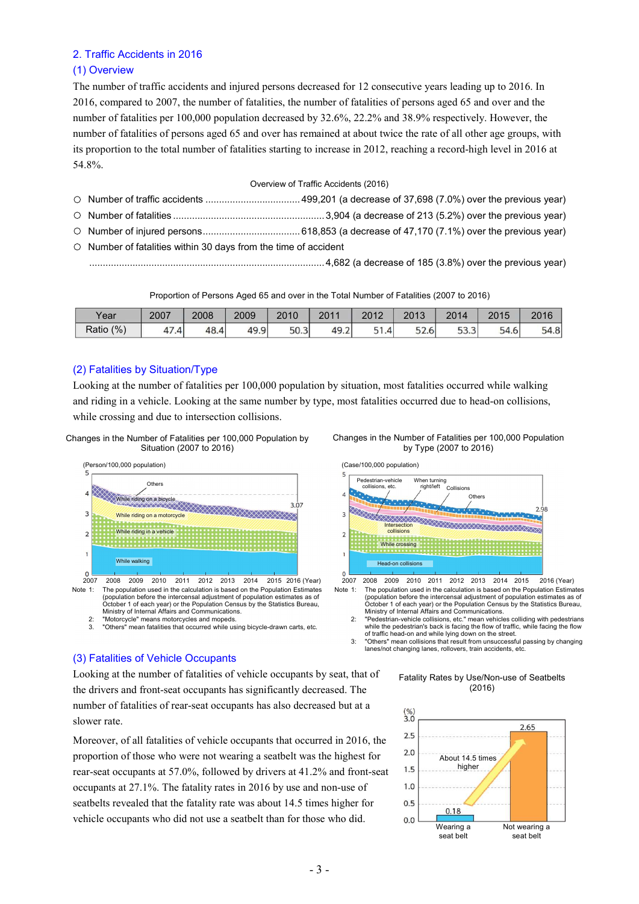## 2. Traffic Accidents in 2016

## (1) Overview

The number of traffic accidents and injured persons decreased for 12 consecutive years leading up to 2016. In 2016, compared to 2007, the number of fatalities, the number of fatalities of persons aged 65 and over and the number of fatalities per 100,000 population decreased by 32.6%, 22.2% and 38.9% respectively. However, the number of fatalities of persons aged 65 and over has remained at about twice the rate of all other age groups, with its proportion to the total number of fatalities starting to increase in 2012, reaching a record-high level in 2016 at 54.8%.

#### Overview of Traffic Accidents (2016)

- Number of traffic accidents ................................... 499,201 (a decrease of 37,698 (7.0%) over the previous year)
- Number of fatalities ........................................................ 3,904 (a decrease of 213 (5.2%) over the previous year)
- Number of injured persons .................................... 618,853 (a decrease of 47,170 (7.1%) over the previous year)
- $\circ$  Number of fatalities within 30 days from the time of accident

....................................................................................... 4,682 (a decrease of 185 (3.8%) over the previous year)

Proportion of Persons Aged 65 and over in the Total Number of Fatalities (2007 to 2016)

| Year           | 2007                                    | 2008 | 2009 | 2010 | 2011<br>ו ש∠ | 2012                   | 2013 | $201 -$ | 2015 | 2016 |
|----------------|-----------------------------------------|------|------|------|--------------|------------------------|------|---------|------|------|
| (9/0)<br>Ratio | $\overline{\phantom{a}}$<br>4<br>$4/$ . | 48.4 | 49.9 | 50.3 | 49.2         | E <sub>1</sub><br>51.4 | 52.6 | 53.3    | 54.6 | 54.8 |

#### (2) Fatalities by Situation/Type

Looking at the number of fatalities per 100,000 population by situation, most fatalities occurred while walking and riding in a vehicle. Looking at the same number by type, most fatalities occurred due to head-on collisions, while crossing and due to intersection collisions.

Changes in the Number of Fatalities per 100,000 Population by Situation (2007 to 2016)



Note 1: The population used in the calculation is based on the Population Estimates (population before the intercensal adjustment of population estimates as of October 1 of each year) or the Population Census by the Statistics Bureau, Ministry of Internal Affairs and Communications. 2: "Motorcycle" means motorcycles and mopeds.

"Others" mean fatalities that occurred while using bicycle-drawn carts, etc.

#### (3) Fatalities of Vehicle Occupants

Looking at the number of fatalities of vehicle occupants by seat, that of the drivers and front-seat occupants has significantly decreased. The number of fatalities of rear-seat occupants has also decreased but at a slower rate.

Moreover, of all fatalities of vehicle occupants that occurred in 2016, the proportion of those who were not wearing a seatbelt was the highest for rear-seat occupants at 57.0%, followed by drivers at 41.2% and front-seat occupants at 27.1%. The fatality rates in 2016 by use and non-use of seatbelts revealed that the fatality rate was about 14.5 times higher for vehicle occupants who did not use a seatbelt than for those who did.





Note 1: The population used in the calculation is based on the Population Estimates (population before the intercensal adjustment of population estimates as of October 1 of each year) or the Population Census by the Statistics Bureau,<br>Ministry of Internal Affairs and Communications.<br>2: "Pedestrian-vehicle collisions, etc." mean vehicles colliding with pedestrians

while the pedestrian's back is facing the flow of traffic, while facing the flow of traffic head-on and while lying down on the street.

 3: "Others" mean collisions that result from unsuccessful passing by changing lanes/not changing lanes, rollovers, train accidents, etc.



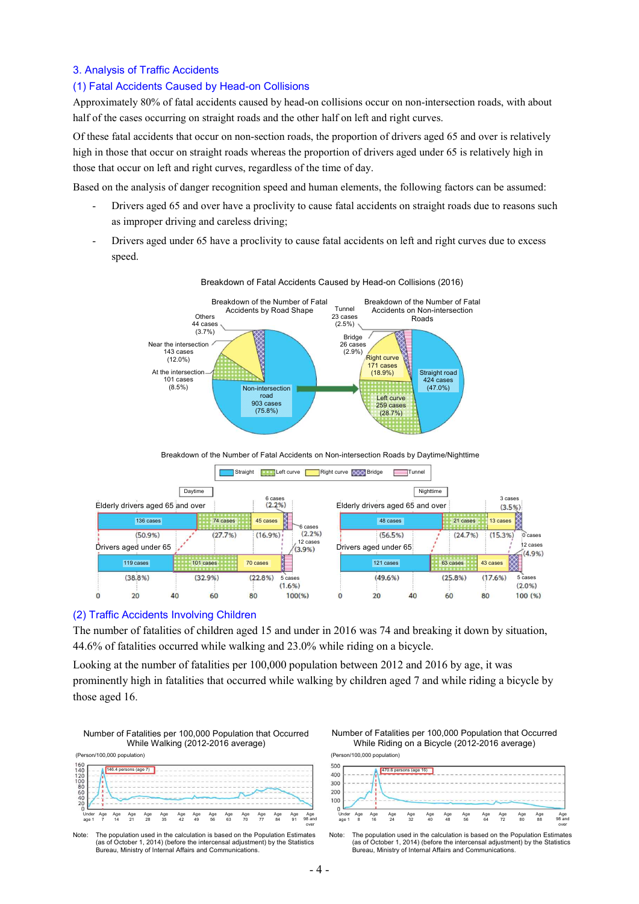#### 3. Analysis of Traffic Accidents

## (1) Fatal Accidents Caused by Head-on Collisions

Approximately 80% of fatal accidents caused by head-on collisions occur on non-intersection roads, with about half of the cases occurring on straight roads and the other half on left and right curves.

Of these fatal accidents that occur on non-section roads, the proportion of drivers aged 65 and over is relatively high in those that occur on straight roads whereas the proportion of drivers aged under 65 is relatively high in those that occur on left and right curves, regardless of the time of day.

Based on the analysis of danger recognition speed and human elements, the following factors can be assumed:

- Drivers aged 65 and over have a proclivity to cause fatal accidents on straight roads due to reasons such as improper driving and careless driving;
- Drivers aged under 65 have a proclivity to cause fatal accidents on left and right curves due to excess speed.



Breakdown of Fatal Accidents Caused by Head-on Collisions (2016)

Breakdown of the Number of Fatal Accidents on Non-intersection Roads by Daytime/Nighttime



#### (2) Traffic Accidents Involving Children

The number of fatalities of children aged 15 and under in 2016 was 74 and breaking it down by situation, 44.6% of fatalities occurred while walking and 23.0% while riding on a bicycle.

Looking at the number of fatalities per 100,000 population between 2012 and 2016 by age, it was prominently high in fatalities that occurred while walking by children aged 7 and while riding a bicycle by those aged 16.





Note: The population used in the calculation is based on the Population Estimates (as of October 1, 2014) (before the intercensal adjustment) by the Statistics Bureau, Ministry of Internal Affairs and Communications.







Note: The population used in the calculation is based on the Population Estimates (as of October 1, 2014) (before the intercensal adjustment) by the Statistics Bureau, Ministry of Internal Affairs and Communications.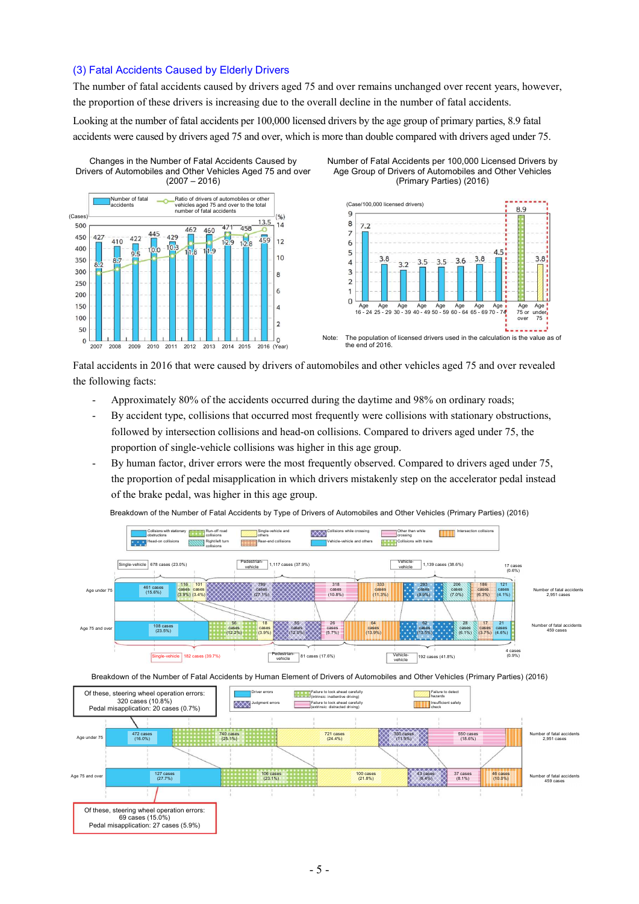#### (3) Fatal Accidents Caused by Elderly Drivers

The number of fatal accidents caused by drivers aged 75 and over remains unchanged over recent years, however, the proportion of these drivers is increasing due to the overall decline in the number of fatal accidents.

Looking at the number of fatal accidents per 100,000 licensed drivers by the age group of primary parties, 8.9 fatal accidents were caused by drivers aged 75 and over, which is more than double compared with drivers aged under 75.









Fatal accidents in 2016 that were caused by drivers of automobiles and other vehicles aged 75 and over revealed the following facts:

- Approximately 80% of the accidents occurred during the daytime and 98% on ordinary roads;
- By accident type, collisions that occurred most frequently were collisions with stationary obstructions, followed by intersection collisions and head-on collisions. Compared to drivers aged under 75, the proportion of single-vehicle collisions was higher in this age group.
- By human factor, driver errors were the most frequently observed. Compared to drivers aged under 75, the proportion of pedal misapplication in which drivers mistakenly step on the accelerator pedal instead of the brake pedal, was higher in this age group.

Breakdown of the Number of Fatal Accidents by Type of Drivers of Automobiles and Other Vehicles (Primary Parties) (2016)





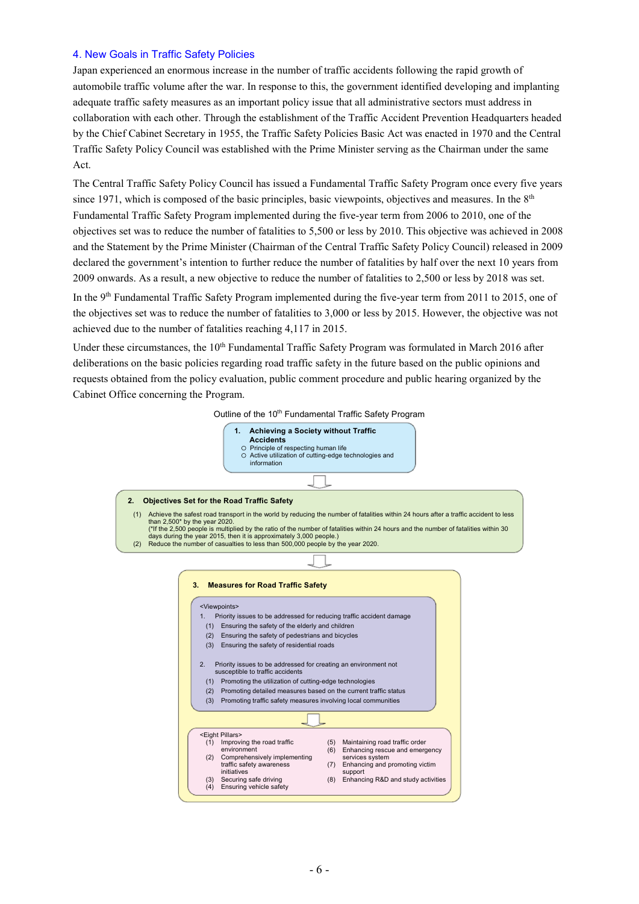#### 4. New Goals in Traffic Safety Policies

Japan experienced an enormous increase in the number of traffic accidents following the rapid growth of automobile traffic volume after the war. In response to this, the government identified developing and implanting adequate traffic safety measures as an important policy issue that all administrative sectors must address in collaboration with each other. Through the establishment of the Traffic Accident Prevention Headquarters headed by the Chief Cabinet Secretary in 1955, the Traffic Safety Policies Basic Act was enacted in 1970 and the Central Traffic Safety Policy Council was established with the Prime Minister serving as the Chairman under the same Act.

The Central Traffic Safety Policy Council has issued a Fundamental Traffic Safety Program once every five years since 1971, which is composed of the basic principles, basic viewpoints, objectives and measures. In the  $8<sup>th</sup>$ Fundamental Traffic Safety Program implemented during the five-year term from 2006 to 2010, one of the objectives set was to reduce the number of fatalities to 5,500 or less by 2010. This objective was achieved in 2008 and the Statement by the Prime Minister (Chairman of the Central Traffic Safety Policy Council) released in 2009 declared the government's intention to further reduce the number of fatalities by half over the next 10 years from 2009 onwards. As a result, a new objective to reduce the number of fatalities to 2,500 or less by 2018 was set.

In the 9<sup>th</sup> Fundamental Traffic Safety Program implemented during the five-year term from 2011 to 2015, one of the objectives set was to reduce the number of fatalities to 3,000 or less by 2015. However, the objective was not achieved due to the number of fatalities reaching 4,117 in 2015.

Under these circumstances, the  $10<sup>th</sup>$  Fundamental Traffic Safety Program was formulated in March 2016 after deliberations on the basic policies regarding road traffic safety in the future based on the public opinions and requests obtained from the policy evaluation, public comment procedure and public hearing organized by the Cabinet Office concerning the Program.

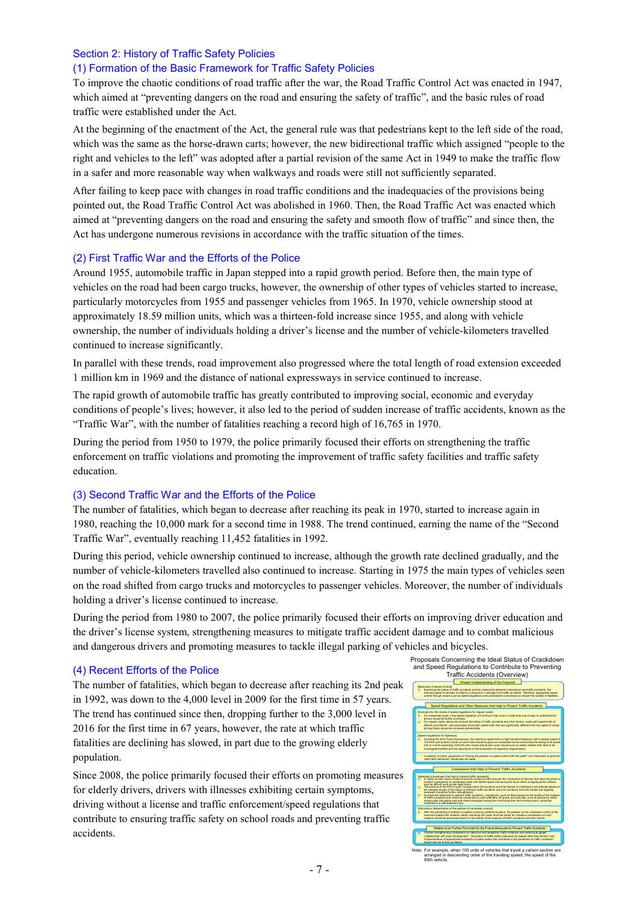#### Section 2: History of Traffic Safety Policies

#### (1) Formation of the Basic Framework for Traffic Safety Policies

To improve the chaotic conditions of road traffic after the war, the Road Traffic Control Act was enacted in 1947, which aimed at "preventing dangers on the road and ensuring the safety of traffic", and the basic rules of road traffic were established under the Act.

At the beginning of the enactment of the Act, the general rule was that pedestrians kept to the left side of the road, which was the same as the horse-drawn carts; however, the new bidirectional traffic which assigned "people to the right and vehicles to the left" was adopted after a partial revision of the same Act in 1949 to make the traffic flow in a safer and more reasonable way when walkways and roads were still not sufficiently separated.

After failing to keep pace with changes in road traffic conditions and the inadequacies of the provisions being pointed out, the Road Traffic Control Act was abolished in 1960. Then, the Road Traffic Act was enacted which aimed at "preventing dangers on the road and ensuring the safety and smooth flow of traffic" and since then, the Act has undergone numerous revisions in accordance with the traffic situation of the times.

#### (2) First Traffic War and the Efforts of the Police

Around 1955, automobile traffic in Japan stepped into a rapid growth period. Before then, the main type of vehicles on the road had been cargo trucks, however, the ownership of other types of vehicles started to increase, particularly motorcycles from 1955 and passenger vehicles from 1965. In 1970, vehicle ownership stood at approximately 18.59 million units, which was a thirteen-fold increase since 1955, and along with vehicle ownership, the number of individuals holding a driver's license and the number of vehicle-kilometers travelled continued to increase significantly.

In parallel with these trends, road improvement also progressed where the total length of road extension exceeded 1 million km in 1969 and the distance of national expressways in service continued to increase.

The rapid growth of automobile traffic has greatly contributed to improving social, economic and everyday conditions of people's lives; however, it also led to the period of sudden increase of traffic accidents, known as the "Traffic War", with the number of fatalities reaching a record high of 16,765 in 1970.

During the period from 1950 to 1979, the police primarily focused their efforts on strengthening the traffic enforcement on traffic violations and promoting the improvement of traffic safety facilities and traffic safety education.

#### (3) Second Traffic War and the Efforts of the Police

The number of fatalities, which began to decrease after reaching its peak in 1970, started to increase again in 1980, reaching the 10,000 mark for a second time in 1988. The trend continued, earning the name of the "Second Traffic War", eventually reaching 11,452 fatalities in 1992.

During this period, vehicle ownership continued to increase, although the growth rate declined gradually, and the number of vehicle-kilometers travelled also continued to increase. Starting in 1975 the main types of vehicles seen on the road shifted from cargo trucks and motorcycles to passenger vehicles. Moreover, the number of individuals holding a driver's license continued to increase.

During the period from 1980 to 2007, the police primarily focused their efforts on improving driver education and the driver's license system, strengthening measures to mitigate traffic accident damage and to combat malicious and dangerous drivers and promoting measures to tackle illegal parking of vehicles and bicycles.

#### (4) Recent Efforts of the Police

The number of fatalities, which began to decrease after reaching its 2nd peak in 1992, was down to the 4,000 level in 2009 for the first time in 57 years. The trend has continued since then, dropping further to the 3,000 level in 2016 for the first time in 67 years, however, the rate at which traffic fatalities are declining has slowed, in part due to the growing elderly population.

Since 2008, the police primarily focused their efforts on promoting measures for elderly drivers, drivers with illnesses exhibiting certain symptoms, driving without a license and traffic enforcement/speed regulations that contribute to ensuring traffic safety on school roads and preventing traffic accidents.



arranged in descending order of the traveling speed, the speed of the 85th vehicle.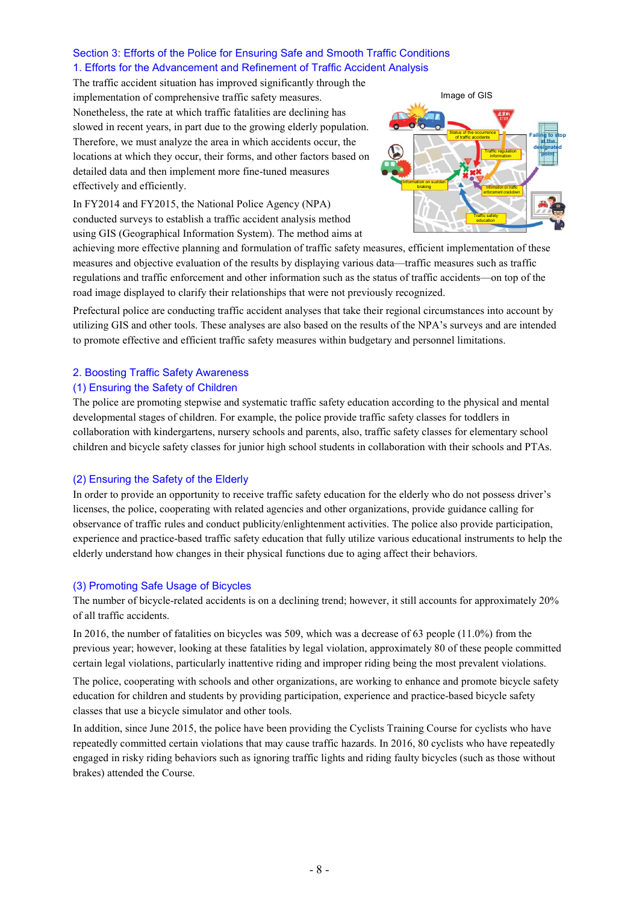## Section 3: Efforts of the Police for Ensuring Safe and Smooth Traffic Conditions 1. Efforts for the Advancement and Refinement of Traffic Accident Analysis

The traffic accident situation has improved significantly through the implementation of comprehensive traffic safety measures. Nonetheless, the rate at which traffic fatalities are declining has slowed in recent years, in part due to the growing elderly population. Therefore, we must analyze the area in which accidents occur, the locations at which they occur, their forms, and other factors based on detailed data and then implement more fine-tuned measures effectively and efficiently.

In FY2014 and FY2015, the National Police Agency (NPA) conducted surveys to establish a traffic accident analysis method using GIS (Geographical Information System). The method aims at



achieving more effective planning and formulation of traffic safety measures, efficient implementation of these measures and objective evaluation of the results by displaying various data—traffic measures such as traffic regulations and traffic enforcement and other information such as the status of traffic accidents—on top of the road image displayed to clarify their relationships that were not previously recognized.

Prefectural police are conducting traffic accident analyses that take their regional circumstances into account by utilizing GIS and other tools. These analyses are also based on the results of the NPA's surveys and are intended to promote effective and efficient traffic safety measures within budgetary and personnel limitations.

## 2. Boosting Traffic Safety Awareness

### (1) Ensuring the Safety of Children

The police are promoting stepwise and systematic traffic safety education according to the physical and mental developmental stages of children. For example, the police provide traffic safety classes for toddlers in collaboration with kindergartens, nursery schools and parents, also, traffic safety classes for elementary school children and bicycle safety classes for junior high school students in collaboration with their schools and PTAs.

#### (2) Ensuring the Safety of the Elderly

In order to provide an opportunity to receive traffic safety education for the elderly who do not possess driver's licenses, the police, cooperating with related agencies and other organizations, provide guidance calling for observance of traffic rules and conduct publicity/enlightenment activities. The police also provide participation, experience and practice-based traffic safety education that fully utilize various educational instruments to help the elderly understand how changes in their physical functions due to aging affect their behaviors.

#### (3) Promoting Safe Usage of Bicycles

The number of bicycle-related accidents is on a declining trend; however, it still accounts for approximately 20% of all traffic accidents.

In 2016, the number of fatalities on bicycles was 509, which was a decrease of 63 people (11.0%) from the previous year; however, looking at these fatalities by legal violation, approximately 80 of these people committed certain legal violations, particularly inattentive riding and improper riding being the most prevalent violations.

The police, cooperating with schools and other organizations, are working to enhance and promote bicycle safety education for children and students by providing participation, experience and practice-based bicycle safety classes that use a bicycle simulator and other tools.

In addition, since June 2015, the police have been providing the Cyclists Training Course for cyclists who have repeatedly committed certain violations that may cause traffic hazards. In 2016, 80 cyclists who have repeatedly engaged in risky riding behaviors such as ignoring traffic lights and riding faulty bicycles (such as those without brakes) attended the Course.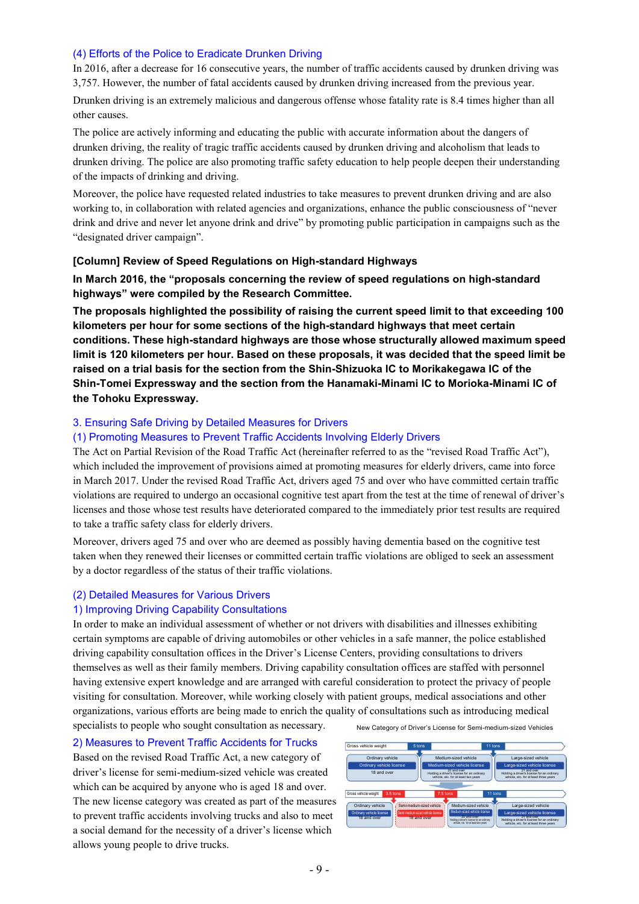#### (4) Efforts of the Police to Eradicate Drunken Driving

In 2016, after a decrease for 16 consecutive years, the number of traffic accidents caused by drunken driving was 3,757. However, the number of fatal accidents caused by drunken driving increased from the previous year.

Drunken driving is an extremely malicious and dangerous offense whose fatality rate is 8.4 times higher than all other causes.

The police are actively informing and educating the public with accurate information about the dangers of drunken driving, the reality of tragic traffic accidents caused by drunken driving and alcoholism that leads to drunken driving. The police are also promoting traffic safety education to help people deepen their understanding of the impacts of drinking and driving.

Moreover, the police have requested related industries to take measures to prevent drunken driving and are also working to, in collaboration with related agencies and organizations, enhance the public consciousness of "never drink and drive and never let anyone drink and drive" by promoting public participation in campaigns such as the "designated driver campaign".

#### **[Column] Review of Speed Regulations on High-standard Highways**

## **In March 2016, the "proposals concerning the review of speed regulations on high-standard highways" were compiled by the Research Committee.**

**The proposals highlighted the possibility of raising the current speed limit to that exceeding 100 kilometers per hour for some sections of the high-standard highways that meet certain conditions. These high-standard highways are those whose structurally allowed maximum speed limit is 120 kilometers per hour. Based on these proposals, it was decided that the speed limit be raised on a trial basis for the section from the Shin-Shizuoka IC to Morikakegawa IC of the Shin-Tomei Expressway and the section from the Hanamaki-Minami IC to Morioka-Minami IC of the Tohoku Expressway.** 

#### 3. Ensuring Safe Driving by Detailed Measures for Drivers

#### (1) Promoting Measures to Prevent Traffic Accidents Involving Elderly Drivers

The Act on Partial Revision of the Road Traffic Act (hereinafter referred to as the "revised Road Traffic Act"), which included the improvement of provisions aimed at promoting measures for elderly drivers, came into force in March 2017. Under the revised Road Traffic Act, drivers aged 75 and over who have committed certain traffic violations are required to undergo an occasional cognitive test apart from the test at the time of renewal of driver's licenses and those whose test results have deteriorated compared to the immediately prior test results are required to take a traffic safety class for elderly drivers.

Moreover, drivers aged 75 and over who are deemed as possibly having dementia based on the cognitive test taken when they renewed their licenses or committed certain traffic violations are obliged to seek an assessment by a doctor regardless of the status of their traffic violations.

#### (2) Detailed Measures for Various Drivers

#### 1) Improving Driving Capability Consultations

In order to make an individual assessment of whether or not drivers with disabilities and illnesses exhibiting certain symptoms are capable of driving automobiles or other vehicles in a safe manner, the police established driving capability consultation offices in the Driver's License Centers, providing consultations to drivers themselves as well as their family members. Driving capability consultation offices are staffed with personnel having extensive expert knowledge and are arranged with careful consideration to protect the privacy of people visiting for consultation. Moreover, while working closely with patient groups, medical associations and other organizations, various efforts are being made to enrich the quality of consultations such as introducing medical

## specialists to people who sought consultation as necessary. 2) Measures to Prevent Traffic Accidents for Trucks

Based on the revised Road Traffic Act, a new category of driver's license for semi-medium-sized vehicle was created which can be acquired by anyone who is aged 18 and over. The new license category was created as part of the measures to prevent traffic accidents involving trucks and also to meet a social demand for the necessity of a driver's license which allows young people to drive trucks.

New Category of Driver's License for Semi-medium-sized Vehicles

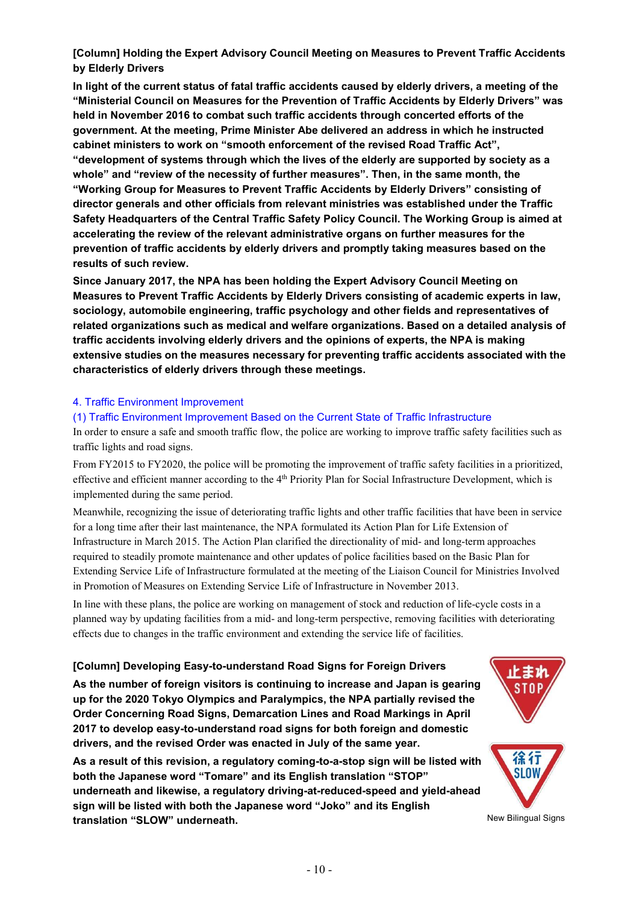**[Column] Holding the Expert Advisory Council Meeting on Measures to Prevent Traffic Accidents by Elderly Drivers** 

**In light of the current status of fatal traffic accidents caused by elderly drivers, a meeting of the "Ministerial Council on Measures for the Prevention of Traffic Accidents by Elderly Drivers" was held in November 2016 to combat such traffic accidents through concerted efforts of the government. At the meeting, Prime Minister Abe delivered an address in which he instructed cabinet ministers to work on "smooth enforcement of the revised Road Traffic Act", "development of systems through which the lives of the elderly are supported by society as a whole" and "review of the necessity of further measures". Then, in the same month, the "Working Group for Measures to Prevent Traffic Accidents by Elderly Drivers" consisting of director generals and other officials from relevant ministries was established under the Traffic Safety Headquarters of the Central Traffic Safety Policy Council. The Working Group is aimed at accelerating the review of the relevant administrative organs on further measures for the prevention of traffic accidents by elderly drivers and promptly taking measures based on the results of such review.** 

**Since January 2017, the NPA has been holding the Expert Advisory Council Meeting on Measures to Prevent Traffic Accidents by Elderly Drivers consisting of academic experts in law, sociology, automobile engineering, traffic psychology and other fields and representatives of related organizations such as medical and welfare organizations. Based on a detailed analysis of traffic accidents involving elderly drivers and the opinions of experts, the NPA is making extensive studies on the measures necessary for preventing traffic accidents associated with the characteristics of elderly drivers through these meetings.** 

#### 4. Traffic Environment Improvement

## (1) Traffic Environment Improvement Based on the Current State of Traffic Infrastructure

In order to ensure a safe and smooth traffic flow, the police are working to improve traffic safety facilities such as traffic lights and road signs.

From FY2015 to FY2020, the police will be promoting the improvement of traffic safety facilities in a prioritized, effective and efficient manner according to the 4<sup>th</sup> Priority Plan for Social Infrastructure Development, which is implemented during the same period.

Meanwhile, recognizing the issue of deteriorating traffic lights and other traffic facilities that have been in service for a long time after their last maintenance, the NPA formulated its Action Plan for Life Extension of Infrastructure in March 2015. The Action Plan clarified the directionality of mid- and long-term approaches required to steadily promote maintenance and other updates of police facilities based on the Basic Plan for Extending Service Life of Infrastructure formulated at the meeting of the Liaison Council for Ministries Involved in Promotion of Measures on Extending Service Life of Infrastructure in November 2013.

In line with these plans, the police are working on management of stock and reduction of life-cycle costs in a planned way by updating facilities from a mid- and long-term perspective, removing facilities with deteriorating effects due to changes in the traffic environment and extending the service life of facilities.

## **[Column] Developing Easy-to-understand Road Signs for Foreign Drivers**

**As the number of foreign visitors is continuing to increase and Japan is gearing up for the 2020 Tokyo Olympics and Paralympics, the NPA partially revised the Order Concerning Road Signs, Demarcation Lines and Road Markings in April 2017 to develop easy-to-understand road signs for both foreign and domestic drivers, and the revised Order was enacted in July of the same year.** 

**As a result of this revision, a regulatory coming-to-a-stop sign will be listed with both the Japanese word "Tomare" and its English translation "STOP" underneath and likewise, a regulatory driving-at-reduced-speed and yield-ahead sign will be listed with both the Japanese word "Joko" and its English translation "SLOW" underneath. New Bilingual Signs https://www.php.grad.org/water.grad.org/water.grad.org/water.grad.org/water.grad.org/water.grad.org/water.grad.org/water.grad.org/water.grad.org/water.grad.org/water.** 



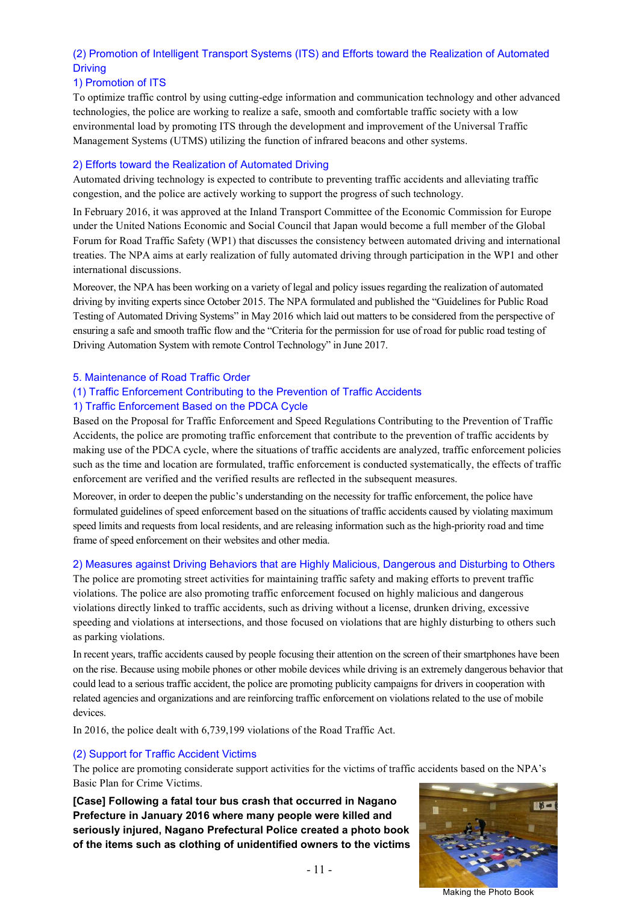## (2) Promotion of Intelligent Transport Systems (ITS) and Efforts toward the Realization of Automated Driving

## 1) Promotion of ITS

To optimize traffic control by using cutting-edge information and communication technology and other advanced technologies, the police are working to realize a safe, smooth and comfortable traffic society with a low environmental load by promoting ITS through the development and improvement of the Universal Traffic Management Systems (UTMS) utilizing the function of infrared beacons and other systems.

## 2) Efforts toward the Realization of Automated Driving

Automated driving technology is expected to contribute to preventing traffic accidents and alleviating traffic congestion, and the police are actively working to support the progress of such technology.

In February 2016, it was approved at the Inland Transport Committee of the Economic Commission for Europe under the United Nations Economic and Social Council that Japan would become a full member of the Global Forum for Road Traffic Safety (WP1) that discusses the consistency between automated driving and international treaties. The NPA aims at early realization of fully automated driving through participation in the WP1 and other international discussions.

Moreover, the NPA has been working on a variety of legal and policy issues regarding the realization of automated driving by inviting experts since October 2015. The NPA formulated and published the "Guidelines for Public Road Testing of Automated Driving Systems" in May 2016 which laid out matters to be considered from the perspective of ensuring a safe and smooth traffic flow and the "Criteria for the permission for use of road for public road testing of Driving Automation System with remote Control Technology" in June 2017.

### 5. Maintenance of Road Traffic Order

## (1) Traffic Enforcement Contributing to the Prevention of Traffic Accidents 1) Traffic Enforcement Based on the PDCA Cycle

Based on the Proposal for Traffic Enforcement and Speed Regulations Contributing to the Prevention of Traffic Accidents, the police are promoting traffic enforcement that contribute to the prevention of traffic accidents by making use of the PDCA cycle, where the situations of traffic accidents are analyzed, traffic enforcement policies such as the time and location are formulated, traffic enforcement is conducted systematically, the effects of traffic enforcement are verified and the verified results are reflected in the subsequent measures.

Moreover, in order to deepen the public's understanding on the necessity for traffic enforcement, the police have formulated guidelines of speed enforcement based on the situations of traffic accidents caused by violating maximum speed limits and requests from local residents, and are releasing information such as the high-priority road and time frame of speed enforcement on their websites and other media.

## 2) Measures against Driving Behaviors that are Highly Malicious, Dangerous and Disturbing to Others

The police are promoting street activities for maintaining traffic safety and making efforts to prevent traffic violations. The police are also promoting traffic enforcement focused on highly malicious and dangerous violations directly linked to traffic accidents, such as driving without a license, drunken driving, excessive speeding and violations at intersections, and those focused on violations that are highly disturbing to others such as parking violations.

In recent years, traffic accidents caused by people focusing their attention on the screen of their smartphones have been on the rise. Because using mobile phones or other mobile devices while driving is an extremely dangerous behavior that could lead to a serious traffic accident, the police are promoting publicity campaigns for drivers in cooperation with related agencies and organizations and are reinforcing traffic enforcement on violations related to the use of mobile devices.

In 2016, the police dealt with 6,739,199 violations of the Road Traffic Act.

## (2) Support for Traffic Accident Victims

The police are promoting considerate support activities for the victims of traffic accidents based on the NPA's Basic Plan for Crime Victims.

**[Case] Following a fatal tour bus crash that occurred in Nagano Prefecture in January 2016 where many people were killed and seriously injured, Nagano Prefectural Police created a photo book of the items such as clothing of unidentified owners to the victims** 

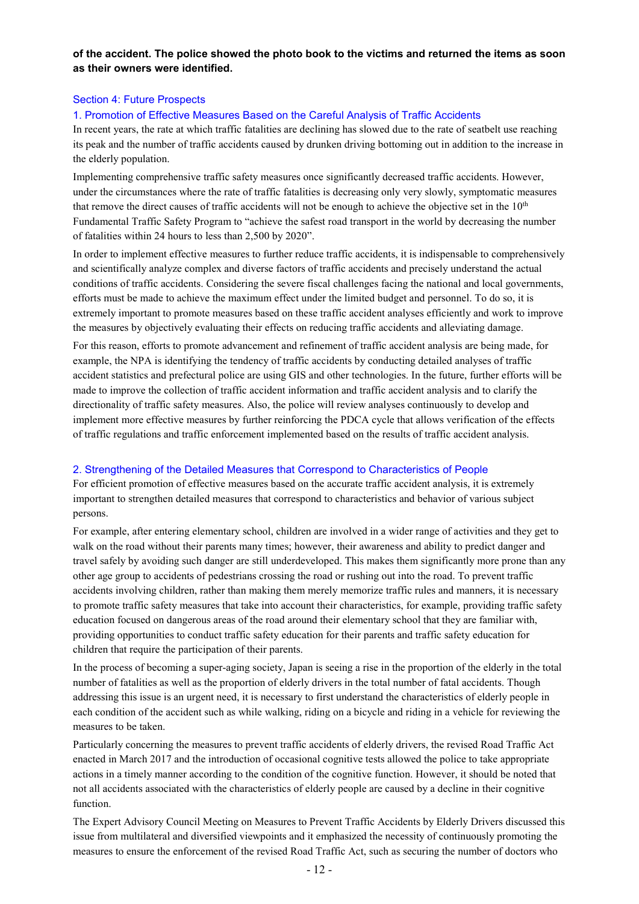#### **of the accident. The police showed the photo book to the victims and returned the items as soon as their owners were identified.**

#### Section 4: Future Prospects

#### 1. Promotion of Effective Measures Based on the Careful Analysis of Traffic Accidents

In recent years, the rate at which traffic fatalities are declining has slowed due to the rate of seatbelt use reaching its peak and the number of traffic accidents caused by drunken driving bottoming out in addition to the increase in the elderly population.

Implementing comprehensive traffic safety measures once significantly decreased traffic accidents. However, under the circumstances where the rate of traffic fatalities is decreasing only very slowly, symptomatic measures that remove the direct causes of traffic accidents will not be enough to achieve the objective set in the 10<sup>th</sup> Fundamental Traffic Safety Program to "achieve the safest road transport in the world by decreasing the number of fatalities within 24 hours to less than 2,500 by 2020".

In order to implement effective measures to further reduce traffic accidents, it is indispensable to comprehensively and scientifically analyze complex and diverse factors of traffic accidents and precisely understand the actual conditions of traffic accidents. Considering the severe fiscal challenges facing the national and local governments, efforts must be made to achieve the maximum effect under the limited budget and personnel. To do so, it is extremely important to promote measures based on these traffic accident analyses efficiently and work to improve the measures by objectively evaluating their effects on reducing traffic accidents and alleviating damage.

For this reason, efforts to promote advancement and refinement of traffic accident analysis are being made, for example, the NPA is identifying the tendency of traffic accidents by conducting detailed analyses of traffic accident statistics and prefectural police are using GIS and other technologies. In the future, further efforts will be made to improve the collection of traffic accident information and traffic accident analysis and to clarify the directionality of traffic safety measures. Also, the police will review analyses continuously to develop and implement more effective measures by further reinforcing the PDCA cycle that allows verification of the effects of traffic regulations and traffic enforcement implemented based on the results of traffic accident analysis.

#### 2. Strengthening of the Detailed Measures that Correspond to Characteristics of People

For efficient promotion of effective measures based on the accurate traffic accident analysis, it is extremely important to strengthen detailed measures that correspond to characteristics and behavior of various subject persons.

For example, after entering elementary school, children are involved in a wider range of activities and they get to walk on the road without their parents many times; however, their awareness and ability to predict danger and travel safely by avoiding such danger are still underdeveloped. This makes them significantly more prone than any other age group to accidents of pedestrians crossing the road or rushing out into the road. To prevent traffic accidents involving children, rather than making them merely memorize traffic rules and manners, it is necessary to promote traffic safety measures that take into account their characteristics, for example, providing traffic safety education focused on dangerous areas of the road around their elementary school that they are familiar with, providing opportunities to conduct traffic safety education for their parents and traffic safety education for children that require the participation of their parents.

In the process of becoming a super-aging society, Japan is seeing a rise in the proportion of the elderly in the total number of fatalities as well as the proportion of elderly drivers in the total number of fatal accidents. Though addressing this issue is an urgent need, it is necessary to first understand the characteristics of elderly people in each condition of the accident such as while walking, riding on a bicycle and riding in a vehicle for reviewing the measures to be taken.

Particularly concerning the measures to prevent traffic accidents of elderly drivers, the revised Road Traffic Act enacted in March 2017 and the introduction of occasional cognitive tests allowed the police to take appropriate actions in a timely manner according to the condition of the cognitive function. However, it should be noted that not all accidents associated with the characteristics of elderly people are caused by a decline in their cognitive function.

The Expert Advisory Council Meeting on Measures to Prevent Traffic Accidents by Elderly Drivers discussed this issue from multilateral and diversified viewpoints and it emphasized the necessity of continuously promoting the measures to ensure the enforcement of the revised Road Traffic Act, such as securing the number of doctors who